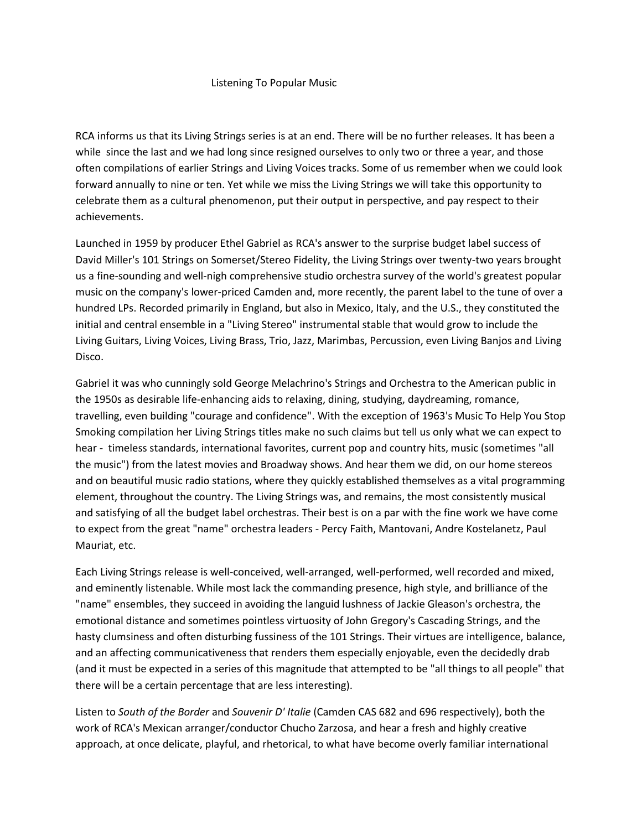## Listening To Popular Music

RCA informs us that its Living Strings series is at an end. There will be no further releases. It has been a while since the last and we had long since resigned ourselves to only two or three a year, and those often compilations of earlier Strings and Living Voices tracks. Some of us remember when we could look forward annually to nine or ten. Yet while we miss the Living Strings we will take this opportunity to celebrate them as a cultural phenomenon, put their output in perspective, and pay respect to their achievements.

Launched in 1959 by producer Ethel Gabriel as RCA's answer to the surprise budget label success of David Miller's 101 Strings on Somerset/Stereo Fidelity, the Living Strings over twenty-two years brought us a fine-sounding and well-nigh comprehensive studio orchestra survey of the world's greatest popular music on the company's lower-priced Camden and, more recently, the parent label to the tune of over a hundred LPs. Recorded primarily in England, but also in Mexico, Italy, and the U.S., they constituted the initial and central ensemble in a "Living Stereo" instrumental stable that would grow to include the Living Guitars, Living Voices, Living Brass, Trio, Jazz, Marimbas, Percussion, even Living Banjos and Living Disco.

Gabriel it was who cunningly sold George Melachrino's Strings and Orchestra to the American public in the 1950s as desirable life-enhancing aids to relaxing, dining, studying, daydreaming, romance, travelling, even building "courage and confidence". With the exception of 1963's Music To Help You Stop Smoking compilation her Living Strings titles make no such claims but tell us only what we can expect to hear - timeless standards, international favorites, current pop and country hits, music (sometimes "all the music") from the latest movies and Broadway shows. And hear them we did, on our home stereos and on beautiful music radio stations, where they quickly established themselves as a vital programming element, throughout the country. The Living Strings was, and remains, the most consistently musical and satisfying of all the budget label orchestras. Their best is on a par with the fine work we have come to expect from the great "name" orchestra leaders - Percy Faith, Mantovani, Andre Kostelanetz, Paul Mauriat, etc.

Each Living Strings release is well-conceived, well-arranged, well-performed, well recorded and mixed, and eminently listenable. While most lack the commanding presence, high style, and brilliance of the "name" ensembles, they succeed in avoiding the languid lushness of Jackie Gleason's orchestra, the emotional distance and sometimes pointless virtuosity of John Gregory's Cascading Strings, and the hasty clumsiness and often disturbing fussiness of the 101 Strings. Their virtues are intelligence, balance, and an affecting communicativeness that renders them especially enjoyable, even the decidedly drab (and it must be expected in a series of this magnitude that attempted to be "all things to all people" that there will be a certain percentage that are less interesting).

Listen to *South of the Border* and *Souvenir D' Italie* (Camden CAS 682 and 696 respectively), both the work of RCA's Mexican arranger/conductor Chucho Zarzosa, and hear a fresh and highly creative approach, at once delicate, playful, and rhetorical, to what have become overly familiar international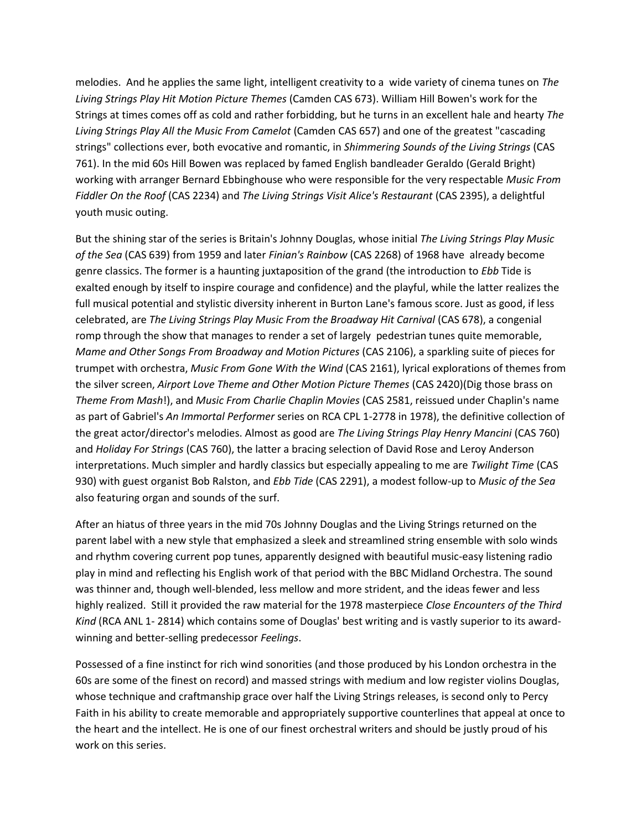melodies. And he applies the same light, intelligent creativity to a wide variety of cinema tunes on *The Living Strings Play Hit Motion Picture Themes* (Camden CAS 673). William Hill Bowen's work for the Strings at times comes off as cold and rather forbidding, but he turns in an excellent hale and hearty *The Living Strings Play All the Music From Camelot* (Camden CAS 657) and one of the greatest "cascading strings" collections ever, both evocative and romantic, in *Shimmering Sounds of the Living Strings* (CAS 761). In the mid 60s Hill Bowen was replaced by famed English bandleader Geraldo (Gerald Bright) working with arranger Bernard Ebbinghouse who were responsible for the very respectable *Music From Fiddler On the Roof* (CAS 2234) and *The Living Strings Visit Alice's Restaurant* (CAS 2395), a delightful youth music outing.

But the shining star of the series is Britain's Johnny Douglas, whose initial *The Living Strings Play Music of the Sea* (CAS 639) from 1959 and later *Finian's Rainbow* (CAS 2268) of 1968 have already become genre classics. The former is a haunting juxtaposition of the grand (the introduction to *Ebb* Tide is exalted enough by itself to inspire courage and confidence) and the playful, while the latter realizes the full musical potential and stylistic diversity inherent in Burton Lane's famous score. Just as good, if less celebrated, are *The Living Strings Play Music From the Broadway Hit Carnival* (CAS 678), a congenial romp through the show that manages to render a set of largely pedestrian tunes quite memorable, *Mame and Other Songs From Broadway and Motion Pictures* (CAS 2106), a sparkling suite of pieces for trumpet with orchestra, *Music From Gone With the Wind* (CAS 2161), lyrical explorations of themes from the silver screen, *Airport Love Theme and Other Motion Picture Themes* (CAS 2420)(Dig those brass on *Theme From Mash*!), and *Music From Charlie Chaplin Movies* (CAS 2581, reissued under Chaplin's name as part of Gabriel's *An Immortal Performer* series on RCA CPL 1-2778 in 1978), the definitive collection of the great actor/director's melodies. Almost as good are *The Living Strings Play Henry Mancini* (CAS 760) and *Holiday For Strings* (CAS 760), the latter a bracing selection of David Rose and Leroy Anderson interpretations. Much simpler and hardly classics but especially appealing to me are *Twilight Time* (CAS 930) with guest organist Bob Ralston, and *Ebb Tide* (CAS 2291), a modest follow-up to *Music of the Sea* also featuring organ and sounds of the surf.

After an hiatus of three years in the mid 70s Johnny Douglas and the Living Strings returned on the parent label with a new style that emphasized a sleek and streamlined string ensemble with solo winds and rhythm covering current pop tunes, apparently designed with beautiful music-easy listening radio play in mind and reflecting his English work of that period with the BBC Midland Orchestra. The sound was thinner and, though well-blended, less mellow and more strident, and the ideas fewer and less highly realized. Still it provided the raw material for the 1978 masterpiece *Close Encounters of the Third Kind* (RCA ANL 1- 2814) which contains some of Douglas' best writing and is vastly superior to its awardwinning and better-selling predecessor *Feelings*.

Possessed of a fine instinct for rich wind sonorities (and those produced by his London orchestra in the 60s are some of the finest on record) and massed strings with medium and low register violins Douglas, whose technique and craftmanship grace over half the Living Strings releases, is second only to Percy Faith in his ability to create memorable and appropriately supportive counterlines that appeal at once to the heart and the intellect. He is one of our finest orchestral writers and should be justly proud of his work on this series.